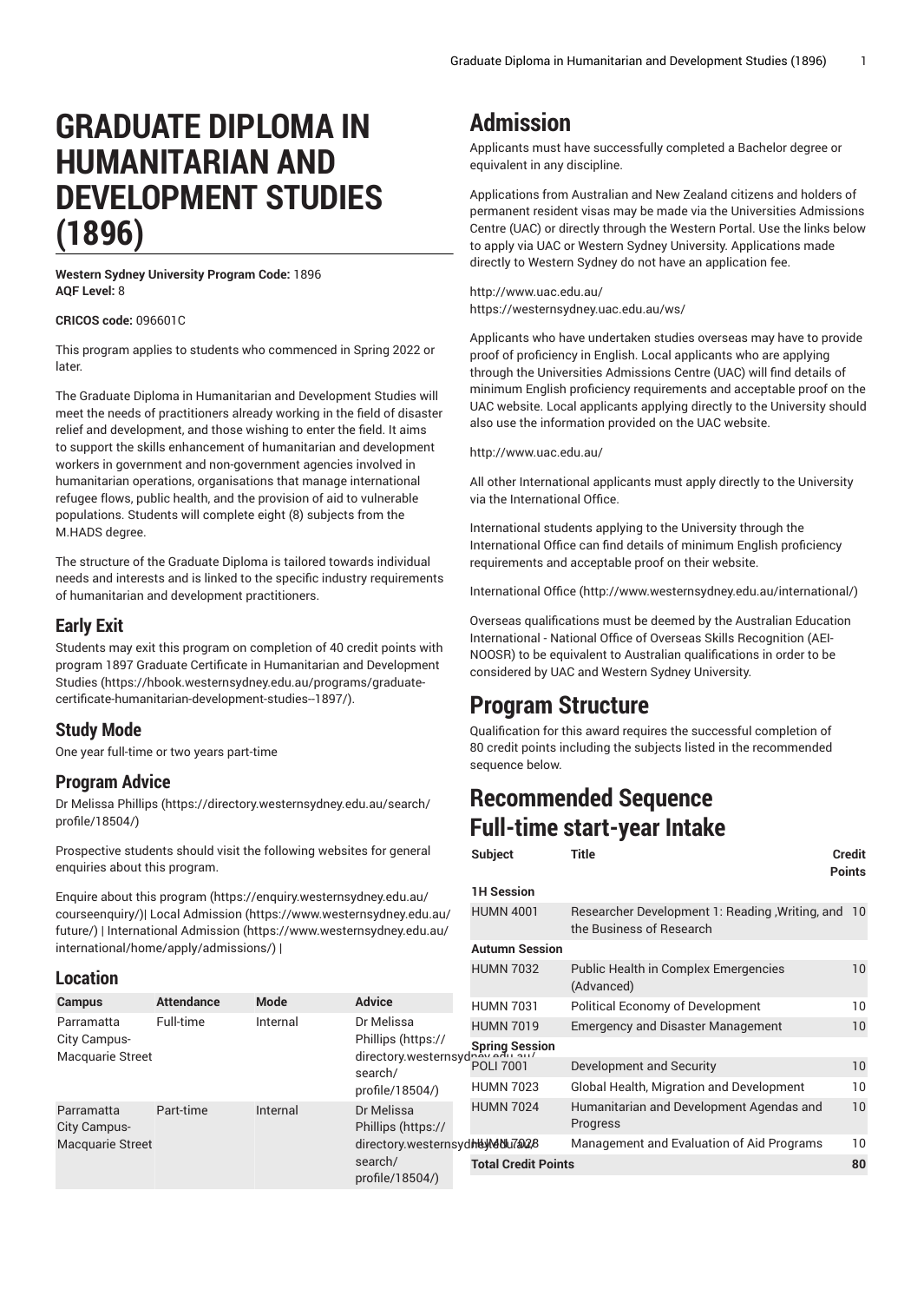# **GRADUATE DIPLOMA IN HUMANITARIAN AND DEVELOPMENT STUDIES (1896)**

**Western Sydney University Program Code:** 1896 **AQF Level:** 8

**CRICOS code:** 096601C

This program applies to students who commenced in Spring 2022 or later.

The Graduate Diploma in Humanitarian and Development Studies will meet the needs of practitioners already working in the field of disaster relief and development, and those wishing to enter the field. It aims to support the skills enhancement of humanitarian and development workers in government and non-government agencies involved in humanitarian operations, organisations that manage international refugee flows, public health, and the provision of aid to vulnerable populations. Students will complete eight (8) subjects from the M.HADS degree.

The structure of the Graduate Diploma is tailored towards individual needs and interests and is linked to the specific industry requirements of humanitarian and development practitioners.

#### **Early Exit**

Students may exit this program on completion of 40 credit points with program 1897 Graduate Certificate in [Humanitarian](https://hbook.westernsydney.edu.au/programs/graduate-certificate-humanitarian-development-studies--1897/) and Development [Studies](https://hbook.westernsydney.edu.au/programs/graduate-certificate-humanitarian-development-studies--1897/) ([https://hbook.westernsydney.edu.au/programs/graduate](https://hbook.westernsydney.edu.au/programs/graduate-certificate-humanitarian-development-studies--1897/)[certificate-humanitarian-development-studies--1897/](https://hbook.westernsydney.edu.au/programs/graduate-certificate-humanitarian-development-studies--1897/)).

#### **Study Mode**

One year full-time or two years part-time

#### **Program Advice**

[Dr Melissa Phillips](https://directory.westernsydney.edu.au/search/profile/18504/) [\(https://directory.westernsydney.edu.au/search/](https://directory.westernsydney.edu.au/search/profile/18504/) [profile/18504/\)](https://directory.westernsydney.edu.au/search/profile/18504/)

Prospective students should visit the following websites for general enquiries about this program.

Enquire about this [program \(https://enquiry.westernsydney.edu.au/](https://enquiry.westernsydney.edu.au/courseenquiry/) [courseenquiry/](https://enquiry.westernsydney.edu.au/courseenquiry/))| [Local Admission \(https://www.westernsydney.edu.au/](https://www.westernsydney.edu.au/future/) [future/\)](https://www.westernsydney.edu.au/future/) | [International Admission](https://www.westernsydney.edu.au/international/home/apply/admissions/) ([https://www.westernsydney.edu.au/](https://www.westernsydney.edu.au/international/home/apply/admissions/) [international/home/apply/admissions/](https://www.westernsydney.edu.au/international/home/apply/admissions/)) |

Full-time Internal [Dr Melissa](https://directory.westernsydney.edu.au/search/profile/18504/)

Part-time Internal [Dr Melissa](https://directory.westernsydney.edu.au/search/profile/18504/)

[search/](https://directory.westernsydney.edu.au/search/profile/18504/) [profile/18504/\)](https://directory.westernsydney.edu.au/search/profile/18504/)

**Campus Attendance Mode Advice**

#### **Location**

Parramatta City Campus-Macquarie Street

Parramatta City Campus-Macquarie Street

### **Admission**

Applicants must have successfully completed a Bachelor degree or equivalent in any discipline.

Applications from Australian and New Zealand citizens and holders of permanent resident visas may be made via the Universities Admissions Centre (UAC) or directly through the Western Portal. Use the links below to apply via UAC or Western Sydney University. Applications made directly to Western Sydney do not have an application fee.

<http://www.uac.edu.au/> <https://westernsydney.uac.edu.au/ws/>

Applicants who have undertaken studies overseas may have to provide proof of proficiency in English. Local applicants who are applying through the Universities Admissions Centre (UAC) will find details of minimum English proficiency requirements and acceptable proof on the UAC website. Local applicants applying directly to the University should also use the information provided on the UAC website.

<http://www.uac.edu.au/>

All other International applicants must apply directly to the University via the International Office.

International students applying to the University through the International Office can find details of minimum English proficiency requirements and acceptable proof on their website.

[International Office](http://www.westernsydney.edu.au/international/) ([http://www.westernsydney.edu.au/international/\)](http://www.westernsydney.edu.au/international/)

Overseas qualifications must be deemed by the Australian Education International - National Office of Overseas Skills Recognition (AEI-NOOSR) to be equivalent to Australian qualifications in order to be considered by UAC and Western Sydney University.

### **Program Structure**

Qualification for this award requires the successful completion of 80 credit points including the subjects listed in the recommended sequence below.

### **Recommended Sequence Full-time start-year Intake**

| es for general                                                                                                  | <b>Subject</b>             | Title                                                                           | Credit<br><b>Points</b> |
|-----------------------------------------------------------------------------------------------------------------|----------------------------|---------------------------------------------------------------------------------|-------------------------|
| /dney.edu.au/<br>/rnsydney.edu.au<br>/rnsydney.edu.au                                                           | <b>1H Session</b>          |                                                                                 |                         |
|                                                                                                                 | <b>HUMN 4001</b>           | Researcher Development 1: Reading , Writing, and 10<br>the Business of Research |                         |
|                                                                                                                 | <b>Autumn Session</b>      |                                                                                 |                         |
|                                                                                                                 | <b>HUMN 7032</b>           | Public Health in Complex Emergencies<br>(Advanced)                              | 10                      |
| <b>Advice</b>                                                                                                   | <b>HUMN 7031</b>           | <b>Political Economy of Development</b>                                         | 10                      |
| Dr Melissa<br>Phillips (https://<br>Spring Session<br>directory.westernsydney.com<br>search/<br>profile/18504/) | <b>HUMN 7019</b>           | <b>Emergency and Disaster Management</b>                                        | 10                      |
|                                                                                                                 |                            |                                                                                 |                         |
|                                                                                                                 | <b>POLI 7001</b>           | Development and Security                                                        | 10                      |
|                                                                                                                 | <b>HUMN 7023</b>           | Global Health, Migration and Development                                        | 10                      |
| Dr Melissa<br>Phillips (https://                                                                                | <b>HUMN 7024</b>           | Humanitarian and Development Agendas and<br>Progress                            | 10                      |
| directory.westernsydhey/40lu7@228                                                                               |                            | Management and Evaluation of Aid Programs                                       | 10                      |
| search/                                                                                                         | <b>Total Credit Points</b> |                                                                                 | 80                      |
| $H = L = (10F0A)$                                                                                               |                            |                                                                                 |                         |